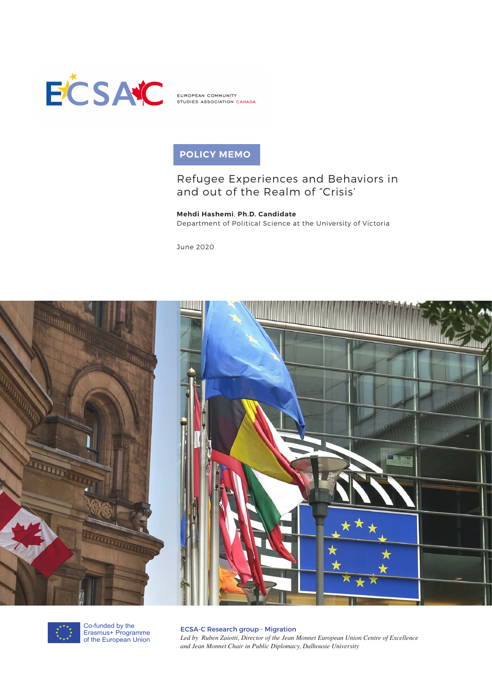

EUROPEAN COMMUNITY STUDIES ASSOCIATION CANADA

# **POLICY MEMO**

## Refugee Experiences and Behaviors in and out of the Realm of "Crisis'

**Mehdi Hashemi**, **Ph.D. Candidate** Department of Political Science at the University of Victoria

June 2020





Co-funded by the Erasmus+ Programme of the European Union

ECSA-C Research group - Migration *Led by Ruben Zaiotti, Director of the Jean Monnet European Union Centre of Excellence and Jean Monnet Chair in Public Diplomacy, Dalhousie University*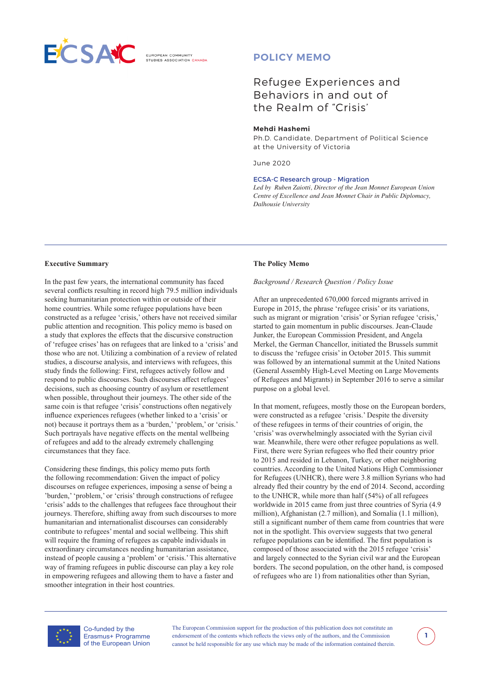

**ELIBOREAN COMMUNITY** 

## **POLICY MEMO**

## Refugee Experiences and Behaviors in and out of the Realm of "Crisis'

#### **Mehdi Hashemi**

Ph.D. Candidate, Department of Political Science at the University of Victoria

June 2020

#### ECSA-C Research group - Migration

*Led by Ruben Zaiotti, Director of the Jean Monnet European Union Centre of Excellence and Jean Monnet Chair in Public Diplomacy, Dalhousie University*

#### **Executive Summary**

In the past few years, the international community has faced several conflicts resulting in record high 79.5 million individuals seeking humanitarian protection within or outside of their home countries. While some refugee populations have been constructed as a refugee 'crisis,' others have not received similar public attention and recognition. This policy memo is based on a study that explores the effects that the discursive construction of 'refugee crises' has on refugees that are linked to a 'crisis' and those who are not. Utilizing a combination of a review of related studies, a discourse analysis, and interviews with refugees, this study finds the following: First, refugees actively follow and respond to public discourses. Such discourses affect refugees' decisions, such as choosing country of asylum or resettlement when possible, throughout their journeys. The other side of the same coin is that refugee 'crisis' constructions often negatively influence experiences refugees (whether linked to a 'crisis' or not) because it portrays them as a 'burden,' 'problem,' or 'crisis.' Such portrayals have negative effects on the mental wellbeing of refugees and add to the already extremely challenging circumstances that they face.

Considering these findings, this policy memo puts forth the following recommendation: Given the impact of policy discourses on refugee experiences, imposing a sense of being a 'burden,' 'problem,' or 'crisis' through constructions of refugee 'crisis' adds to the challenges that refugees face throughout their journeys. Therefore, shifting away from such discourses to more humanitarian and internationalist discourses can considerably contribute to refugees' mental and social wellbeing. This shift will require the framing of refugees as capable individuals in extraordinary circumstances needing humanitarian assistance, instead of people causing a 'problem' or 'crisis.' This alternative way of framing refugees in public discourse can play a key role in empowering refugees and allowing them to have a faster and smoother integration in their host countries.

#### **The Policy Memo**

#### *Background / Research Question / Policy Issue*

After an unprecedented 670,000 forced migrants arrived in Europe in 2015, the phrase 'refugee crisis' or its variations, such as migrant or migration 'crisis' or Syrian refugee 'crisis,' started to gain momentum in public discourses. Jean-Claude Junker, the European Commission President, and Angela Merkel, the German Chancellor, initiated the Brussels summit to discuss the 'refugee crisis' in October 2015. This summit was followed by an international summit at the United Nations (General Assembly High-Level Meeting on Large Movements of Refugees and Migrants) in September 2016 to serve a similar purpose on a global level.

In that moment, refugees, mostly those on the European borders, were constructed as a refugee 'crisis.' Despite the diversity of these refugees in terms of their countries of origin, the 'crisis' was overwhelmingly associated with the Syrian civil war. Meanwhile, there were other refugee populations as well. First, there were Syrian refugees who fled their country prior to 2015 and resided in Lebanon, Turkey, or other neighboring countries. According to the United Nations High Commissioner for Refugees (UNHCR), there were 3.8 million Syrians who had already fled their country by the end of 2014. Second, according to the UNHCR, while more than half (54%) of all refugees worldwide in 2015 came from just three countries of Syria (4.9 million), Afghanistan (2.7 million), and Somalia (1.1 million), still a significant number of them came from countries that were not in the spotlight. This overview suggests that two general refugee populations can be identified. The first population is composed of those associated with the 2015 refugee 'crisis' and largely connected to the Syrian civil war and the European borders. The second population, on the other hand, is composed of refugees who are 1) from nationalities other than Syrian,



Co-funded by the Erasmus+ Programme of the European Union

The European Commission support for the production of this publication does not constitute an endorsement of the contents which reflects the views only of the authors, and the Commission cannot be held responsible for any use which may be made of the information contained therein.

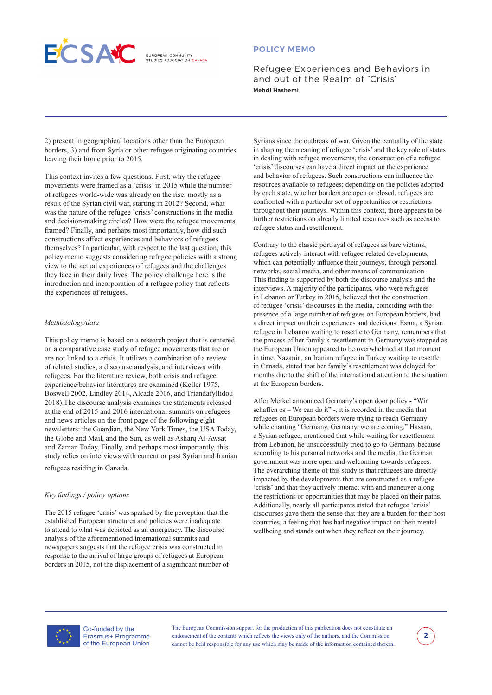

**ELIBOREAN COMMUNITY** 

## **POLICY MEMO**

Refugee Experiences and Behaviors in and out of the Realm of "Crisis' **Mehdi Hashemi** 

2) present in geographical locations other than the European borders, 3) and from Syria or other refugee originating countries leaving their home prior to 2015.

This context invites a few questions. First, why the refugee movements were framed as a 'crisis' in 2015 while the number of refugees world-wide was already on the rise, mostly as a result of the Syrian civil war, starting in 2012? Second, what was the nature of the refugee 'crisis' constructions in the media and decision-making circles? How were the refugee movements framed? Finally, and perhaps most importantly, how did such constructions affect experiences and behaviors of refugees themselves? In particular, with respect to the last question, this policy memo suggests considering refugee policies with a strong view to the actual experiences of refugees and the challenges they face in their daily lives. The policy challenge here is the introduction and incorporation of a refugee policy that reflects the experiences of refugees.

#### *Methodology/data*

This policy memo is based on a research project that is centered on a comparative case study of refugee movements that are or are not linked to a crisis. It utilizes a combination of a review of related studies, a discourse analysis, and interviews with refugees. For the literature review, both crisis and refugee experience/behavior literatures are examined (Keller 1975, Boswell 2002, Lindley 2014, Alcade 2016, and Triandafyllidou 2018).The discourse analysis examines the statements released at the end of 2015 and 2016 international summits on refugees and news articles on the front page of the following eight newsletters: the Guardian, the New York Times, the USA Today, the Globe and Mail, and the Sun, as well as Asharq Al-Awsat and Zaman Today. Finally, and perhaps most importantly, this study relies on interviews with current or past Syrian and Iranian refugees residing in Canada.

#### *Key findings / policy options*

The 2015 refugee 'crisis' was sparked by the perception that the established European structures and policies were inadequate to attend to what was depicted as an emergency. The discourse analysis of the aforementioned international summits and newspapers suggests that the refugee crisis was constructed in response to the arrival of large groups of refugees at European borders in 2015, not the displacement of a significant number of

Syrians since the outbreak of war. Given the centrality of the state in shaping the meaning of refugee 'crisis' and the key role of states in dealing with refugee movements, the construction of a refugee 'crisis' discourses can have a direct impact on the experience and behavior of refugees. Such constructions can influence the resources available to refugees; depending on the policies adopted by each state, whether borders are open or closed, refugees are confronted with a particular set of opportunities or restrictions throughout their journeys. Within this context, there appears to be further restrictions on already limited resources such as access to refugee status and resettlement.

Contrary to the classic portrayal of refugees as bare victims, refugees actively interact with refugee-related developments, which can potentially influence their journeys, through personal networks, social media, and other means of communication. This finding is supported by both the discourse analysis and the interviews. A majority of the participants, who were refugees in Lebanon or Turkey in 2015, believed that the construction of refugee 'crisis' discourses in the media, coinciding with the presence of a large number of refugees on European borders, had a direct impact on their experiences and decisions. Esma, a Syrian refugee in Lebanon waiting to resettle to Germany, remembers that the process of her family's resettlement to Germany was stopped as the European Union appeared to be overwhelmed at that moment in time. Nazanin, an Iranian refugee in Turkey waiting to resettle in Canada, stated that her family's resettlement was delayed for months due to the shift of the international attention to the situation at the European borders.

After Merkel announced Germany's open door policy - "Wir schaffen es – We can do it" -, it is recorded in the media that refugees on European borders were trying to reach Germany while chanting "Germany, Germany, we are coming." Hassan, a Syrian refugee, mentioned that while waiting for resettlement from Lebanon, he unsuccessfully tried to go to Germany because according to his personal networks and the media, the German government was more open and welcoming towards refugees. The overarching theme of this study is that refugees are directly impacted by the developments that are constructed as a refugee 'crisis' and that they actively interact with and maneuver along the restrictions or opportunities that may be placed on their paths. Additionally, nearly all participants stated that refugee 'crisis' discourses gave them the sense that they are a burden for their host countries, a feeling that has had negative impact on their mental wellbeing and stands out when they reflect on their journey.



Co-funded by the Erasmus+ Programme of the European Union

The European Commission support for the production of this publication does not constitute an endorsement of the contents which reflects the views only of the authors, and the Commission cannot be held responsible for any use which may be made of the information contained therein.